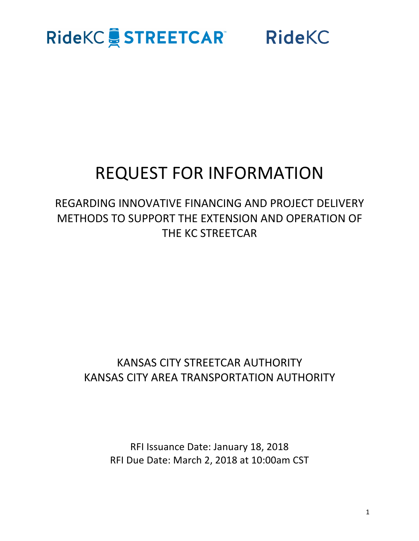### **RideKC & STREETCAR RideKC**

### **REQUEST FOR INFORMATION**

### REGARDING INNOVATIVE FINANCING AND PROJECT DELIVERY METHODS TO SUPPORT THE EXTENSION AND OPERATION OF THE KC STREETCAR

### KANSAS CITY STREETCAR AUTHORITY KANSAS CITY AREA TRANSPORTATION AUTHORITY

RFI Issuance Date: January 18, 2018 RFI Due Date: March 2, 2018 at 10:00am CST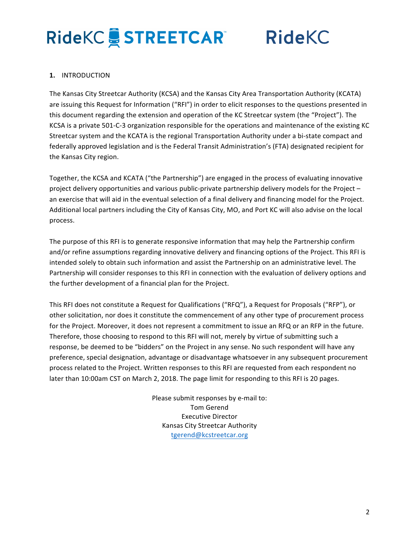**RideKC** 

### **1.** INTRODUCTION

The Kansas City Streetcar Authority (KCSA) and the Kansas City Area Transportation Authority (KCATA) are issuing this Request for Information ("RFI") in order to elicit responses to the questions presented in this document regarding the extension and operation of the KC Streetcar system (the "Project"). The KCSA is a private 501-C-3 organization responsible for the operations and maintenance of the existing KC Streetcar system and the KCATA is the regional Transportation Authority under a bi-state compact and federally approved legislation and is the Federal Transit Administration's (FTA) designated recipient for the Kansas City region.

Together, the KCSA and KCATA ("the Partnership") are engaged in the process of evaluating innovative project delivery opportunities and various public-private partnership delivery models for the Project  $$ an exercise that will aid in the eventual selection of a final delivery and financing model for the Project. Additional local partners including the City of Kansas City, MO, and Port KC will also advise on the local process.

The purpose of this RFI is to generate responsive information that may help the Partnership confirm and/or refine assumptions regarding innovative delivery and financing options of the Project. This RFI is intended solely to obtain such information and assist the Partnership on an administrative level. The Partnership will consider responses to this RFI in connection with the evaluation of delivery options and the further development of a financial plan for the Project.

This RFI does not constitute a Request for Qualifications ("RFQ"), a Request for Proposals ("RFP"), or other solicitation, nor does it constitute the commencement of any other type of procurement process for the Project. Moreover, it does not represent a commitment to issue an RFQ or an RFP in the future. Therefore, those choosing to respond to this RFI will not, merely by virtue of submitting such a response, be deemed to be "bidders" on the Project in any sense. No such respondent will have any preference, special designation, advantage or disadvantage whatsoever in any subsequent procurement process related to the Project. Written responses to this RFI are requested from each respondent no later than 10:00am CST on March 2, 2018. The page limit for responding to this RFI is 20 pages.

> Please submit responses by e-mail to: Tom Gerend Executive Director Kansas City Streetcar Authority tgerend@kcstreetcar.org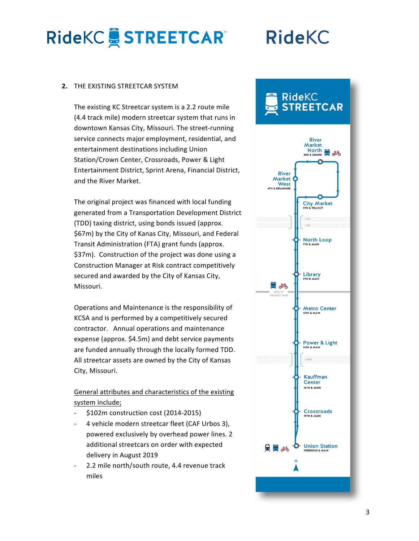## **RideKC**

### **2. THE EXISTING STREETCAR SYSTEM**

The existing KC Streetcar system is a 2.2 route mile (4.4 track mile) modern streetcar system that runs in downtown Kansas City, Missouri. The street-running service connects major employment, residential, and entertainment destinations including Union Station/Crown Center, Crossroads, Power & Light Entertainment District, Sprint Arena, Financial District, and the River Market.

The original project was financed with local funding generated from a Transportation Development District (TDD) taxing district, using bonds issued (approx. \$67m) by the City of Kanas City, Missouri, and Federal Transit Administration (FTA) grant funds (approx. \$37m). Construction of the project was done using a Construction Manager at Risk contract competitively secured and awarded by the City of Kansas City, Missouri. 

Operations and Maintenance is the responsibility of KCSA and is performed by a competitively secured contractor. Annual operations and maintenance expense (approx. \$4.5m) and debt service payments are funded annually through the locally formed TDD. All streetcar assets are owned by the City of Kansas City, Missouri.

### General attributes and characteristics of the existing system include;

- $$102m$  construction cost (2014-2015)
- 4 vehicle modern streetcar fleet (CAF Urbos 3), powered exclusively by overhead power lines. 2 additional streetcars on order with expected delivery in August 2019
- 2.2 mile north/south route, 4.4 revenue track miles

### RideKC **STREETCAR**

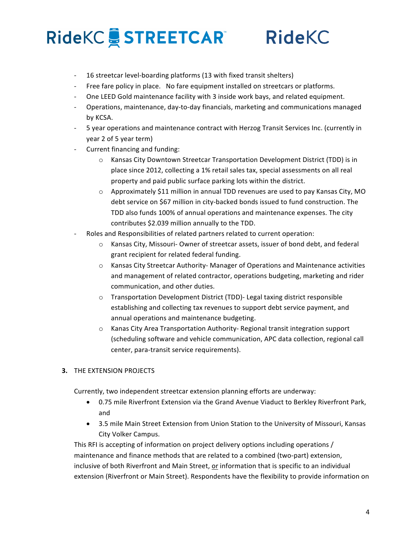### **RideKC**

- 16 streetcar level-boarding platforms (13 with fixed transit shelters)
- Free fare policy in place. No fare equipment installed on streetcars or platforms.
- One LEED Gold maintenance facility with 3 inside work bays, and related equipment.
- Operations, maintenance, day-to-day financials, marketing and communications managed by KCSA.
- 5 year operations and maintenance contract with Herzog Transit Services Inc. (currently in year 2 of 5 year term)
- Current financing and funding:
	- $\circ$  Kansas City Downtown Streetcar Transportation Development District (TDD) is in place since 2012, collecting a 1% retail sales tax, special assessments on all real property and paid public surface parking lots within the district.
	- $\circ$  Approximately \$11 million in annual TDD revenues are used to pay Kansas City, MO debt service on \$67 million in city-backed bonds issued to fund construction. The TDD also funds 100% of annual operations and maintenance expenses. The city contributes \$2.039 million annually to the TDD.
- Roles and Responsibilities of related partners related to current operation:
	- $\circ$  Kansas City, Missouri- Owner of streetcar assets, issuer of bond debt, and federal grant recipient for related federal funding.
	- $\circ$  Kansas City Streetcar Authority- Manager of Operations and Maintenance activities and management of related contractor, operations budgeting, marketing and rider communication, and other duties.
	- o Transportation Development District (TDD)- Legal taxing district responsible establishing and collecting tax revenues to support debt service payment, and annual operations and maintenance budgeting.
	- $\circ$  Kanas City Area Transportation Authority- Regional transit integration support (scheduling software and vehicle communication, APC data collection, regional call center, para-transit service requirements).

### **3. THE EXTENSION PROJECTS**

Currently, two independent streetcar extension planning efforts are underway:

- 0.75 mile Riverfront Extension via the Grand Avenue Viaduct to Berkley Riverfront Park, and
- 3.5 mile Main Street Extension from Union Station to the University of Missouri, Kansas City Volker Campus.

This RFI is accepting of information on project delivery options including operations / maintenance and finance methods that are related to a combined (two-part) extension, inclusive of both Riverfront and Main Street, or information that is specific to an individual extension (Riverfront or Main Street). Respondents have the flexibility to provide information on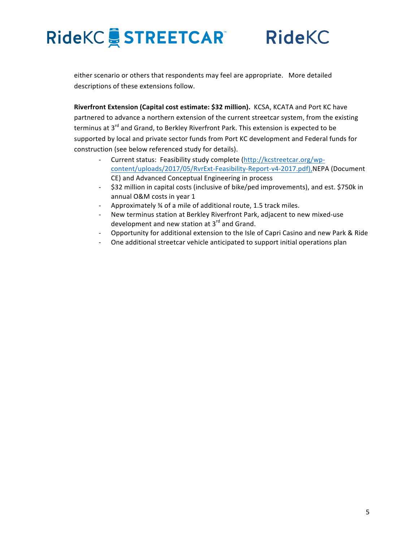**RideKC** 

either scenario or others that respondents may feel are appropriate. More detailed descriptions of these extensions follow.

Riverfront Extension (Capital cost estimate: \$32 million). KCSA, KCATA and Port KC have partnered to advance a northern extension of the current streetcar system, from the existing terminus at  $3^{rd}$  and Grand, to Berkley Riverfront Park. This extension is expected to be supported by local and private sector funds from Port KC development and Federal funds for construction (see below referenced study for details).

- Current status: Feasibility study complete (http://kcstreetcar.org/wpcontent/uploads/2017/05/RvrExt-Feasibility-Report-v4-2017.pdf),NEPA (Document CE) and Advanced Conceptual Engineering in process
- \$32 million in capital costs (inclusive of bike/ped improvements), and est. \$750k in annual O&M costs in year 1
- Approximately 34 of a mile of additional route, 1.5 track miles.
- New terminus station at Berkley Riverfront Park, adjacent to new mixed-use development and new station at  $3^{rd}$  and Grand.
- Opportunity for additional extension to the Isle of Capri Casino and new Park & Ride
- One additional streetcar vehicle anticipated to support initial operations plan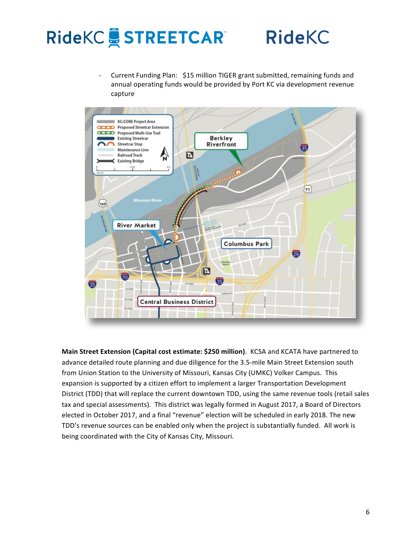## RideKC STREETCAR RideKC

Current Funding Plan: \$15 million TIGER grant submitted, remaining funds and annual operating funds would be provided by Port KC via development revenue capture



**Main Street Extension (Capital cost estimate: \$250 million).** KCSA and KCATA have partnered to advance detailed route planning and due diligence for the 3.5-mile Main Street Extension south from Union Station to the University of Missouri, Kansas City (UMKC) Volker Campus. This expansion is supported by a citizen effort to implement a larger Transportation Development District (TDD) that will replace the current downtown TDD, using the same revenue tools (retail sales tax and special assessments). This district was legally formed in August 2017, a Board of Directors elected in October 2017, and a final "revenue" election will be scheduled in early 2018. The new TDD's revenue sources can be enabled only when the project is substantially funded. All work is being coordinated with the City of Kansas City, Missouri.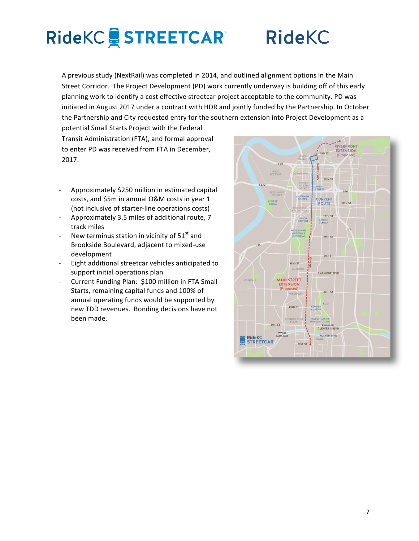### **RideKC**

A previous study (NextRail) was completed in 2014, and outlined alignment options in the Main Street Corridor. The Project Development (PD) work currently underway is building off of this early planning work to identify a cost effective streetcar project acceptable to the community. PD was initiated in August 2017 under a contract with HDR and jointly funded by the Partnership. In October the Partnership and City requested entry for the southern extension into Project Development as a

potential Small Starts Project with the Federal Transit Administration (FTA), and formal approval to enter PD was received from FTA in December, 2017. 

- Approximately \$250 million in estimated capital costs, and \$5m in annual O&M costs in year 1 (not inclusive of starter-line operations costs)
- Approximately 3.5 miles of additional route, 7 track miles
- New terminus station in vicinity of  $51<sup>st</sup>$  and Brookside Boulevard, adjacent to mixed-use development
- Eight additional streetcar vehicles anticipated to support initial operations plan
- Current Funding Plan: \$100 million in FTA Small Starts, remaining capital funds and 100% of annual operating funds would be supported by new TDD revenues. Bonding decisions have not been made.

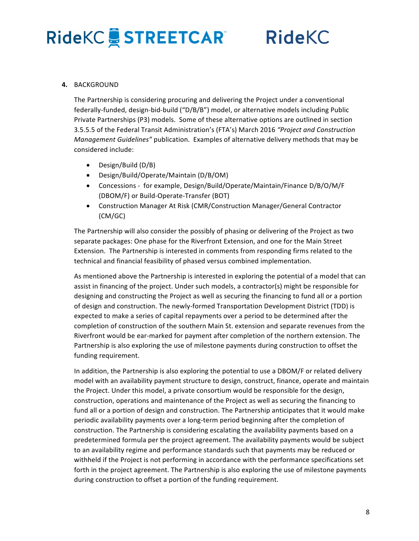**RideKC** 

### **4.** BACKGROUND

The Partnership is considering procuring and delivering the Project under a conventional federally-funded, design-bid-build ("D/B/B") model, or alternative models including Public Private Partnerships (P3) models. Some of these alternative options are outlined in section 3.5.5.5 of the Federal Transit Administration's (FTA's) March 2016 "Project and Construction *Management Guidelines"* publication. Examples of alternative delivery methods that may be considered include:

- Design/Build (D/B)
- Design/Build/Operate/Maintain (D/B/OM)
- Concessions for example, Design/Build/Operate/Maintain/Finance D/B/O/M/F (DBOM/F) or Build-Operate-Transfer (BOT)
- Construction Manager At Risk (CMR/Construction Manager/General Contractor (CM/GC)

The Partnership will also consider the possibly of phasing or delivering of the Project as two separate packages: One phase for the Riverfront Extension, and one for the Main Street Extension. The Partnership is interested in comments from responding firms related to the technical and financial feasibility of phased versus combined implementation.

As mentioned above the Partnership is interested in exploring the potential of a model that can assist in financing of the project. Under such models, a contractor(s) might be responsible for designing and constructing the Project as well as securing the financing to fund all or a portion of design and construction. The newly-formed Transportation Development District (TDD) is expected to make a series of capital repayments over a period to be determined after the completion of construction of the southern Main St. extension and separate revenues from the Riverfront would be ear-marked for payment after completion of the northern extension. The Partnership is also exploring the use of milestone payments during construction to offset the funding requirement.

In addition, the Partnership is also exploring the potential to use a DBOM/F or related delivery model with an availability payment structure to design, construct, finance, operate and maintain the Project. Under this model, a private consortium would be responsible for the design, construction, operations and maintenance of the Project as well as securing the financing to fund all or a portion of design and construction. The Partnership anticipates that it would make periodic availability payments over a long-term period beginning after the completion of construction. The Partnership is considering escalating the availability payments based on a predetermined formula per the project agreement. The availability payments would be subject to an availability regime and performance standards such that payments may be reduced or withheld if the Project is not performing in accordance with the performance specifications set forth in the project agreement. The Partnership is also exploring the use of milestone payments during construction to offset a portion of the funding requirement.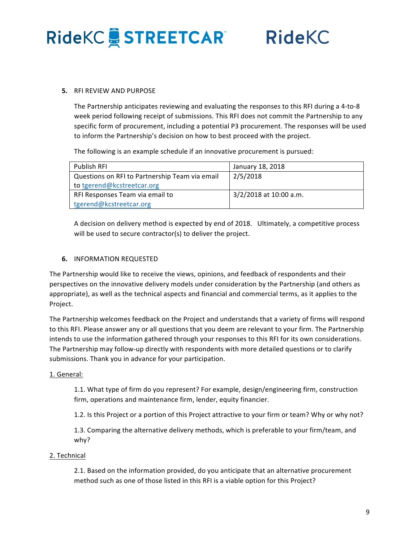**RideKC** 

#### **5. RELREVIEW AND PURPOSE**

The Partnership anticipates reviewing and evaluating the responses to this RFI during a 4-to-8 week period following receipt of submissions. This RFI does not commit the Partnership to any specific form of procurement, including a potential P3 procurement. The responses will be used to inform the Partnership's decision on how to best proceed with the project.

The following is an example schedule if an innovative procurement is pursued:

| <b>Publish RFI</b>                             | January 18, 2018       |
|------------------------------------------------|------------------------|
| Questions on RFI to Partnership Team via email | 2/5/2018               |
| to tgerend@kcstreetcar.org                     |                        |
| RFI Responses Team via email to                | 3/2/2018 at 10:00 a.m. |
| tgerend@kcstreetcar.org                        |                        |

A decision on delivery method is expected by end of 2018. Ultimately, a competitive process will be used to secure contractor(s) to deliver the project.

### **6. INFORMATION REQUESTED**

The Partnership would like to receive the views, opinions, and feedback of respondents and their perspectives on the innovative delivery models under consideration by the Partnership (and others as appropriate), as well as the technical aspects and financial and commercial terms, as it applies to the Project.

The Partnership welcomes feedback on the Project and understands that a variety of firms will respond to this RFI. Please answer any or all questions that you deem are relevant to your firm. The Partnership intends to use the information gathered through your responses to this RFI for its own considerations. The Partnership may follow-up directly with respondents with more detailed questions or to clarify submissions. Thank you in advance for your participation.

### 1. General:

1.1. What type of firm do you represent? For example, design/engineering firm, construction firm, operations and maintenance firm, lender, equity financier.

1.2. Is this Project or a portion of this Project attractive to your firm or team? Why or why not?

1.3. Comparing the alternative delivery methods, which is preferable to your firm/team, and why? 

### 2. Technical

2.1. Based on the information provided, do you anticipate that an alternative procurement method such as one of those listed in this RFI is a viable option for this Project?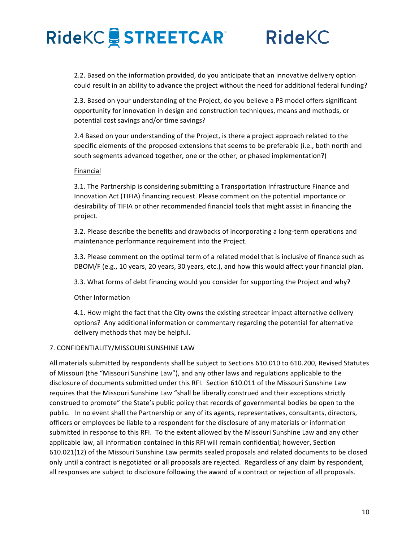### **RideKC**

2.2. Based on the information provided, do you anticipate that an innovative delivery option could result in an ability to advance the project without the need for additional federal funding?

2.3. Based on your understanding of the Project, do you believe a P3 model offers significant opportunity for innovation in design and construction techniques, means and methods, or potential cost savings and/or time savings?

2.4 Based on your understanding of the Project, is there a project approach related to the specific elements of the proposed extensions that seems to be preferable (i.e., both north and south segments advanced together, one or the other, or phased implementation?)

#### Financial

3.1. The Partnership is considering submitting a Transportation Infrastructure Finance and Innovation Act (TIFIA) financing request. Please comment on the potential importance or desirability of TIFIA or other recommended financial tools that might assist in financing the project.

3.2. Please describe the benefits and drawbacks of incorporating a long-term operations and maintenance performance requirement into the Project.

3.3. Please comment on the optimal term of a related model that is inclusive of finance such as DBOM/F (e.g., 10 years, 20 years, 30 years, etc.), and how this would affect your financial plan.

3.3. What forms of debt financing would you consider for supporting the Project and why?

#### Other Information

4.1. How might the fact that the City owns the existing streetcar impact alternative delivery options? Any additional information or commentary regarding the potential for alternative delivery methods that may be helpful.

#### 7. CONFIDENTIALITY/MISSOURI SUNSHINE LAW

All materials submitted by respondents shall be subject to Sections 610.010 to 610.200, Revised Statutes of Missouri (the "Missouri Sunshine Law"), and any other laws and regulations applicable to the disclosure of documents submitted under this RFI. Section 610.011 of the Missouri Sunshine Law requires that the Missouri Sunshine Law "shall be liberally construed and their exceptions strictly construed to promote" the State's public policy that records of governmental bodies be open to the public. In no event shall the Partnership or any of its agents, representatives, consultants, directors, officers or employees be liable to a respondent for the disclosure of any materials or information submitted in response to this RFI. To the extent allowed by the Missouri Sunshine Law and any other applicable law, all information contained in this RFI will remain confidential; however, Section 610.021(12) of the Missouri Sunshine Law permits sealed proposals and related documents to be closed only until a contract is negotiated or all proposals are rejected. Regardless of any claim by respondent, all responses are subject to disclosure following the award of a contract or rejection of all proposals.